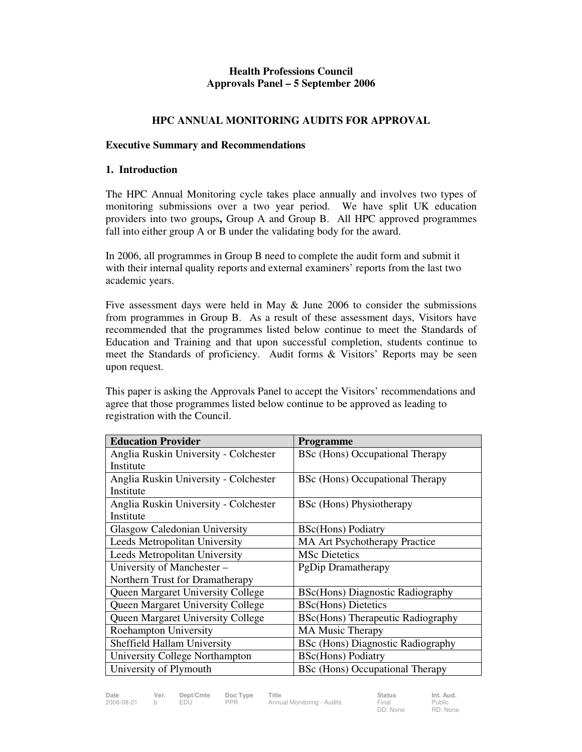### **Health Professions Council Approvals Panel – 5 September 2006**

### **HPC ANNUAL MONITORING AUDITS FOR APPROVAL**

#### **Executive Summary and Recommendations**

#### **1. Introduction**

The HPC Annual Monitoring cycle takes place annually and involves two types of monitoring submissions over a two year period. We have split UK education providers into two groups**,** Group A and Group B. All HPC approved programmes fall into either group A or B under the validating body for the award.

In 2006, all programmes in Group B need to complete the audit form and submit it with their internal quality reports and external examiners' reports from the last two academic years.

Five assessment days were held in May & June 2006 to consider the submissions from programmes in Group B. As a result of these assessment days, Visitors have recommended that the programmes listed below continue to meet the Standards of Education and Training and that upon successful completion, students continue to meet the Standards of proficiency. Audit forms & Visitors' Reports may be seen upon request.

This paper is asking the Approvals Panel to accept the Visitors' recommendations and agree that those programmes listed below continue to be approved as leading to registration with the Council.

| <b>Education Provider</b>                | Programme                                |
|------------------------------------------|------------------------------------------|
| Anglia Ruskin University - Colchester    | BSc (Hons) Occupational Therapy          |
| Institute                                |                                          |
| Anglia Ruskin University - Colchester    | BSc (Hons) Occupational Therapy          |
| Institute                                |                                          |
| Anglia Ruskin University - Colchester    | <b>BSc</b> (Hons) Physiotherapy          |
| Institute                                |                                          |
| <b>Glasgow Caledonian University</b>     | <b>BSc(Hons)</b> Podiatry                |
| Leeds Metropolitan University            | <b>MA Art Psychotherapy Practice</b>     |
| Leeds Metropolitan University            | MSc Dietetics                            |
| University of Manchester -               | PgDip Dramatherapy                       |
| Northern Trust for Dramatherapy          |                                          |
| <b>Queen Margaret University College</b> | <b>BSc(Hons)</b> Diagnostic Radiography  |
| <b>Queen Margaret University College</b> | <b>BSc(Hons)</b> Dietetics               |
| <b>Queen Margaret University College</b> | <b>BSc(Hons)</b> Therapeutic Radiography |
| <b>Roehampton University</b>             | <b>MA Music Therapy</b>                  |
| Sheffield Hallam University              | <b>BSc (Hons) Diagnostic Radiography</b> |
| <b>University College Northampton</b>    | <b>BSc(Hons)</b> Podiatry                |
| University of Plymouth                   | BSc (Hons) Occupational Therapy          |